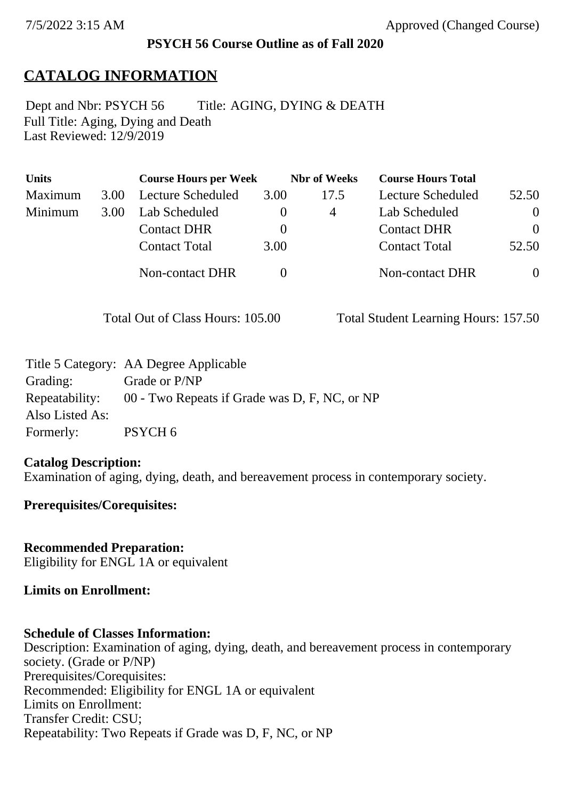### **PSYCH 56 Course Outline as of Fall 2020**

# **CATALOG INFORMATION**

Full Title: Aging, Dying and Death Last Reviewed: 12/9/2019 Dept and Nbr: PSYCH 56 Title: AGING, DYING & DEATH

| <b>Units</b> |      | <b>Course Hours per Week</b> |          | <b>Nbr</b> of Weeks | <b>Course Hours Total</b> |          |
|--------------|------|------------------------------|----------|---------------------|---------------------------|----------|
| Maximum      | 3.00 | Lecture Scheduled            | 3.00     | 17.5                | Lecture Scheduled         | 52.50    |
| Minimum      | 3.00 | Lab Scheduled                |          | 4                   | Lab Scheduled             | $\theta$ |
|              |      | <b>Contact DHR</b>           | $\theta$ |                     | <b>Contact DHR</b>        | $\Omega$ |
|              |      | <b>Contact Total</b>         | 3.00     |                     | <b>Contact Total</b>      | 52.50    |
|              |      | Non-contact DHR              |          |                     | <b>Non-contact DHR</b>    | $\theta$ |

Total Out of Class Hours: 105.00 Total Student Learning Hours: 157.50

|                 | Title 5 Category: AA Degree Applicable                       |
|-----------------|--------------------------------------------------------------|
| Grading:        | Grade or P/NP                                                |
|                 | Repeatability: 00 - Two Repeats if Grade was D, F, NC, or NP |
| Also Listed As: |                                                              |
| Formerly:       | PSYCH <sub>6</sub>                                           |

#### **Catalog Description:**

Examination of aging, dying, death, and bereavement process in contemporary society.

### **Prerequisites/Corequisites:**

**Recommended Preparation:** Eligibility for ENGL 1A or equivalent

#### **Limits on Enrollment:**

#### **Schedule of Classes Information:**

Description: Examination of aging, dying, death, and bereavement process in contemporary society. (Grade or P/NP) Prerequisites/Corequisites: Recommended: Eligibility for ENGL 1A or equivalent Limits on Enrollment: Transfer Credit: CSU; Repeatability: Two Repeats if Grade was D, F, NC, or NP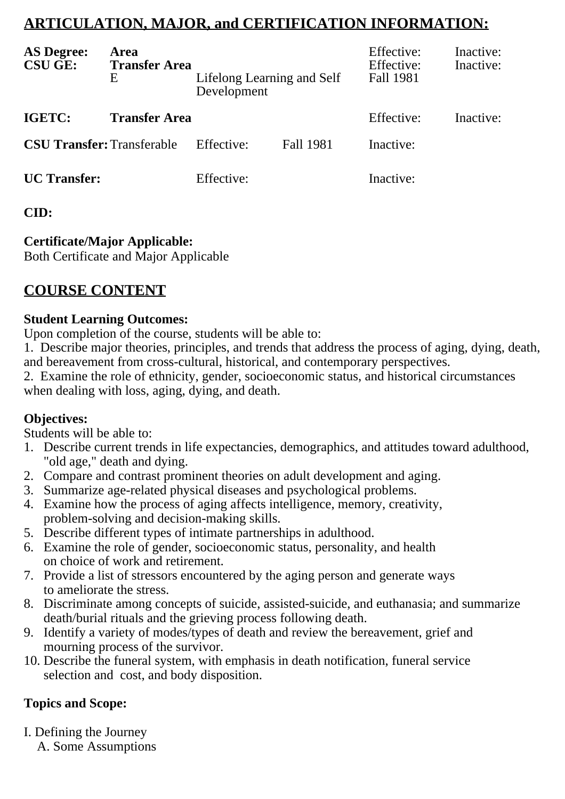# **ARTICULATION, MAJOR, and CERTIFICATION INFORMATION:**

| <b>AS Degree:</b><br><b>CSU GE:</b> | Area<br><b>Transfer Area</b><br>E | Lifelong Learning and Self<br>Development |                  | Effective:<br>Effective:<br>Fall 1981 | Inactive:<br>Inactive: |
|-------------------------------------|-----------------------------------|-------------------------------------------|------------------|---------------------------------------|------------------------|
| IGETC:                              | <b>Transfer Area</b>              |                                           |                  | Effective:                            | Inactive:              |
| <b>CSU Transfer: Transferable</b>   |                                   | Effective:                                | <b>Fall 1981</b> | Inactive:                             |                        |
| <b>UC</b> Transfer:                 |                                   | Effective:                                |                  | Inactive:                             |                        |

# **CID:**

# **Certificate/Major Applicable:**

[Both Certificate and Major Applicable](SR_ClassCheck.aspx?CourseKey=PSYCH56)

# **COURSE CONTENT**

# **Student Learning Outcomes:**

Upon completion of the course, students will be able to:

1. Describe major theories, principles, and trends that address the process of aging, dying, death, and bereavement from cross-cultural, historical, and contemporary perspectives.

2. Examine the role of ethnicity, gender, socioeconomic status, and historical circumstances when dealing with loss, aging, dying, and death.

# **Objectives:**

Students will be able to:

- 1. Describe current trends in life expectancies, demographics, and attitudes toward adulthood, "old age," death and dying.
- 2. Compare and contrast prominent theories on adult development and aging.
- 3. Summarize age-related physical diseases and psychological problems.
- 4. Examine how the process of aging affects intelligence, memory, creativity, problem-solving and decision-making skills.
- 5. Describe different types of intimate partnerships in adulthood.
- 6. Examine the role of gender, socioeconomic status, personality, and health on choice of work and retirement.
- 7. Provide a list of stressors encountered by the aging person and generate ways to ameliorate the stress.
- 8. Discriminate among concepts of suicide, assisted-suicide, and euthanasia; and summarize death/burial rituals and the grieving process following death.
- 9. Identify a variety of modes/types of death and review the bereavement, grief and mourning process of the survivor.
- 10. Describe the funeral system, with emphasis in death notification, funeral service selection and cost, and body disposition.

# **Topics and Scope:**

I. Defining the Journey

A. Some Assumptions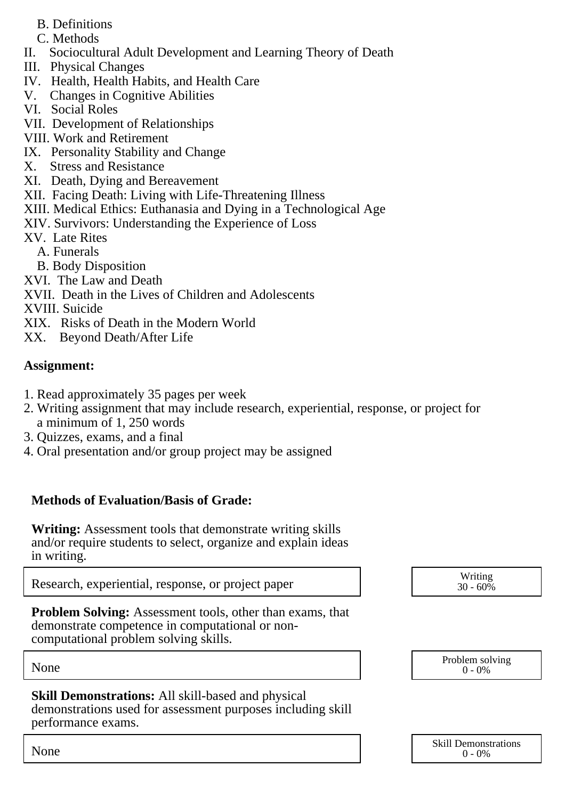- B. Definitions
- C. Methods
- II. Sociocultural Adult Development and Learning Theory of Death
- III. Physical Changes
- IV. Health, Health Habits, and Health Care
- V. Changes in Cognitive Abilities
- VI. Social Roles
- VII. Development of Relationships
- VIII. Work and Retirement
- IX. Personality Stability and Change
- X. Stress and Resistance
- XI. Death, Dying and Bereavement
- XII. Facing Death: Living with Life-Threatening Illness
- XIII. Medical Ethics: Euthanasia and Dying in a Technological Age
- XIV. Survivors: Understanding the Experience of Loss
- XV. Late Rites
	- A. Funerals
	- B. Body Disposition
- XVI. The Law and Death
- XVII. Death in the Lives of Children and Adolescents
- XVIII. Suicide
- XIX. Risks of Death in the Modern World
- XX. Beyond Death/After Life

# **Assignment:**

- 1. Read approximately 35 pages per week
- 2. Writing assignment that may include research, experiential, response, or project for a minimum of 1, 250 words
- 3. Quizzes, exams, and a final
- 4. Oral presentation and/or group project may be assigned

# **Methods of Evaluation/Basis of Grade:**

**Writing:** Assessment tools that demonstrate writing skills and/or require students to select, organize and explain ideas in writing.

Research, experiential, response, or project paper and the set of the second vertiling writing

**Problem Solving:** Assessment tools, other than exams, that demonstrate competence in computational or noncomputational problem solving skills.

**Skill Demonstrations:** All skill-based and physical demonstrations used for assessment purposes including skill performance exams.

 $30 - 60\%$ 

|      | <b>Skill Demonstrations</b> |
|------|-----------------------------|
| None | $-0\%$<br>0                 |